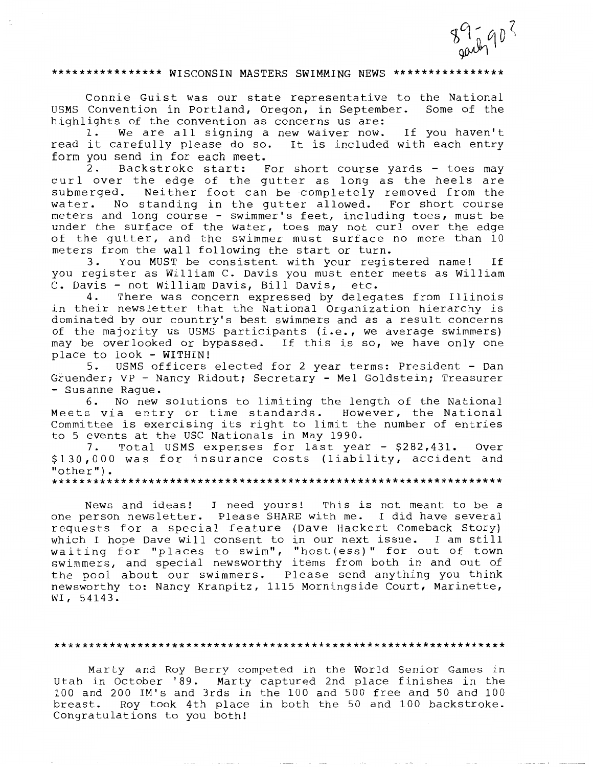$89 - 902$ 

# \*\*\*\*\*\*\*\*\*\*\*\*\*\*\* WISCONSIN MASTERS SWIMMING NEWS \*\*\*\*\*\*\*\*\*\*\*\*\*\*\*\*

Connie Guist was our state representative to the National<br>Convention in Portland, Oregon, in September. Some of the USMS Convention in Portland, Oregon, in September. highlights of the convention as concerns us are:

1. We are all signing a new waiver now. If you haven't read it carefully please do so. It is included with each entry form you send in for each meet.<br>2. Backstroke start: F

Backstroke start: For short course yards - toes may curl over the edge of the gutter as long as the heels are submerged. Neither foot can be completely removed from the water. No standing in the gutter allowed. For short course meters and long course - swimmer's feet, including toes, must be under the surface of the water, toes may not curl over the edge of the gutter, and the swimmer must surface no more than 10 meters from the wall following the start or turn.<br>3. You MUST be consistent with your regis

3. You MUST be consistent with your registered name! If you register as William C. Davis you must enter meets as William C. Davis - not William Davis, Bill Davis, etc.<br>4. There was concern expressed by delega

There was concern expressed by delegates from Illinois in their newsletter that the National Organization hierarchy is dominated by our country's best swimmers and as a result concerns of the majority us USMS participants (i.e., we average swimmers) may be overlooked or bypassed. If this is so, we have only one place to look - WITHIN!<br>5. USMS officers

USMS officers elected for 2 year terms: President - Dan Gruender; VP - Nancy Ridout; Secretary - Mel Goldstein; Treasurer - Susanne Rague.

6. No new solutions to limiting the length of the National Meets via entry or time standards. However, the National Committee is exercising its right to limit the number of entries to 5 events at the USC Nationals in May 1990.

7. Total USMS expenses for last year - \$282,431. Over \$130,000 was for insurance costs (liability, accident and "other").

\*\*\*\*\*\*\*\*\*\*\*\*\*\*\*\*\*\*\*\*\*\*\*\*\*\*\*\*\*\*\*\*\*\*\*\*\*\*\*\*\*\*\*\*\*\*\*\*\*\*\*\*\*\*\*\*\*\*\*\*\*\*\*\*\*

News and ideas! I need yours! This is not meant to be a one person newsletter. Please SHARE with me. I did have several requests for a special feature (Dave Hackert Comeback Story) which I hope Dave will consent to in our next issue. I am still which I hope bave with consent to in our next section I am overswimmers, and special newsworthy items from both in and out of the pool about our swimmers. Please send anything you think newsworthy to: Nancy Kranpitz, 1115 Morningside Court, Marinette, WI, 54143.

#### \*\*\*\*\*\*\*\*\*\*\*\*\*\*\*\*\*\*\*\*\*\*\*\*\*\*\*\*\*\*\*\*\*\*\*\*\*\*\*\*\*\*\*\*\*\*\*\*\*\*\*\*\*\*\*\*\*\*\*\*\*\*\*\*\*

Marty and Roy Berry competed in the World Senior Games in Utah in October '89. Marty captured 2nd place finishes in the 100 and 200 IM's and 3rds in the 100 and 500 free and 50 and 100 breast. Roy took 4th place in both the 50 and 100 backstroke. Congratulations to you both!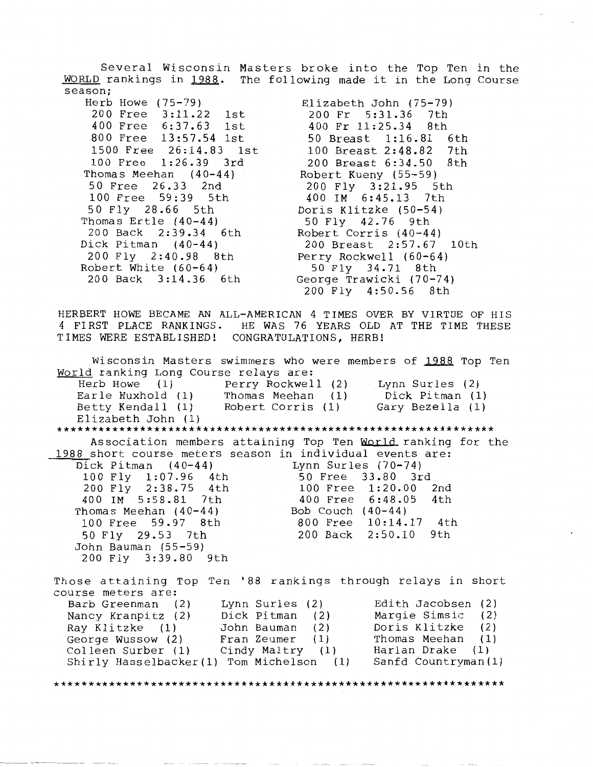Several Wisconsin Masters broke into the Top Ten in the WORLD rankings in 1988. The following made it in the Long Course season;

Herb Howe (75-79) 200 Free 3:11.22 1st<br>400 Free 6:37.63 1st 400 Free 6:37.63<br>800 Free 13:57.54 13:57.54 1st 1500 Free 26:14.83 1st<br>100 Free 1:26.39 3rd 100 Free 1:26.39 Thomas Meehan (40-44) 50 Free 26.33 2nd 100 Free 59:39 5th 50 Fly 28.66 5th Thomas Ertle (40-44) 200 Back 2:39.34 6th Dick Pitman (40-44) 200 Fly 2:40.98 8th Robert White (60-64) 200 Back 3:14.36 6th

Elizabeth John (75-79)<br>200 Fr 5:31.36 7th 200 Fr 5:31.36 7th<br>400 Fr 11:25.34 8th 400 Fr 11:25.34 8th 50 Breast 1:16.81 6th 100 Breast 2:48.82 7th 200 Breast  $6:34.50$ Robert Kueny (55-59) 200 Fly 3:21.95 5th 400 IM 6:45.13 7th Doris Klitzke (50-54) 50 Fly 42.76 9th Robert Corris  $(40-44)$ 200 Breast 2:57.67 10th Perry Rockwell (60-64) 50 Fly 34.71 8th George Trawicki (70-74) 200 Fly 4:50.56 8th

HERBERT HOWE BECAME AN ALL-AMERICAN **4** TIMES OVER BY VIRTUE OF HIS 4 FIRST PLACE RANKINGS. HE WAS 76 YEARS OLD AT THE TIME THESE TIMES WERE ESTABLISHED! CONGRATULATIONS, HERB!

Wisconsin Masters swimmers who were members of **1988** Top Ten World ranking Long Course relays are:<br>Herb Howe (1) Perry Rockwel Perry Rockwell (2)<br>Thomas Meehan (1) Earle Huxhold (1)<br>Betty Kendall (1) Robert Corris (1) Elizabeth John (1) Lynn Surles (2) Dick Pitman (1) Gary Bezella (1) \*\*\*\*\*\*\*\*\*\*\*\*\*\*\*\*\*\*\*\*\*\*\*\*\*\*\*\*\*\*\*\*\*\*\*\*\*\*\*\*\*\*\*\*\*\*\*\*\*\*\*\*\*\*\*\*\*\*\*\*\*\*\* Association members attaining Top Ten **World** ranking fot the 1988 short course meters season in individual events are:<br>Dick Pitman (40-44) Lynn Surles (70-74) Dick Pitman (40-44) Lynn Surles (70-74) 100 Free 33.80 3rd<br>100 Free 1:20.00 2nd 200 Fly 2:38.75 4th 100 Free 1:20.00 2nd 400 IM 5:58.81 7th 400 Free 6:48.0<br>homas Meehan (40-44) Bob Couch (40-44) Thomas Meehan (40-44) Bob Couch (40-44) 100 Free 59.97 8th 800 Free 10:14.17 4th<br>50 Fly 29.53 7th 200 Back 2:50.10 9th 50 Fly 29.53 7th John Bauman (55-59) 200 Fly 3:39.80 9th Those attaining Top Ten '88 rankings through relays in short course meters are: Barb Greenman (2) Lynn Surles (2) Nancy Kranpitz (2) Ray Klitzke (1) John Bauman (2) George Wussow (2) Fran Zeumer (1)<br>Colleen Surber (1) Cindy Maltry (1) Cindy Maltry (1) Shirly Hasselbacker(l) Tom Michelson (1) Edith Jacobsen (2) Margie Simsic (2) Doris Klitzke (2)<br>Thomas Meehan (1) Thomas Meehan (1) Harlan Drake (1) Sanfd Countryman(l) \*\*\*\*\*\*\*\*\*\*\*\*\*\*\*\*\*\*\*\*\*\*\*\*\*\*\*\*\*\*\*\*\*\*\*\*\*\*\*\*\*\*\*\*\*\*\*\*\*\*\*\*\*\*\*\*\*\*\*\*\*\*\*\*\*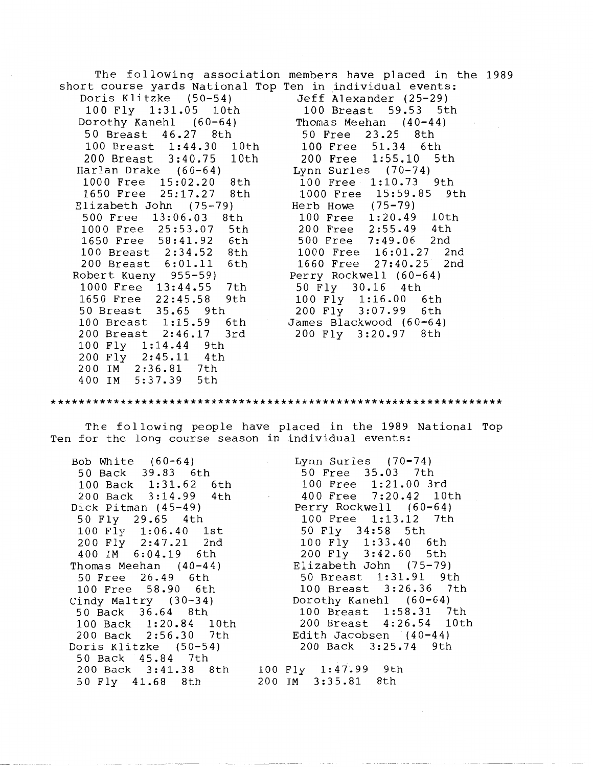The following association members have placed in the 1989 short course yards National Top Ten in individual events: Doris Klitzke (50-54) Jeff Alexander (25-29) 100 Fly 1:31.05 10th 100 Breast 59.53 5th Dorothy Kanehl  $(60-64)$ 50 Breast 46.27 8th 50 Free 23.25 8th 100 Breast 1:44.30 10th 100 Free 51.34 6th 200 Breast 3:40.75 10th 200 Free 1:55.10<br>
arlan Drake (60-64) 5 Lynn Surles (70-74) Harlan Drake (60-64) Lynn Surles (70-74)<br>1000 Free 15:02.20 8th 100 Free 1:10.73 9th 1000 Free 15:02.20 8th<br>1650 Free 25:17.27 8th 1000 Free 15:59.85 9th<br>Herb Howe (75-79) Elizabeth John (75-79) Herb Howe (75-79)<br>500 Free 13:06.03 8th 100 Free 1:20.49 500 Free 13:06.03 8th 100 Free 1:20.49 10th 1000 Free 25:53.07 5th 200 Free 2:55.49 4th 1650 Free 58:41.92 6th<br>100 Breast 2:34.52 8th 1000 Free 16:01.27 2nd 200 Breast 6:01.11 6th 1660 Free 27:40.25 2nd Robert Kueny 955-59) Perry Rockwell (60-64) 1000 Free 13:44.55 7th 50 Fly 30.16 4th 1000 Free 13:44.55 7th 50 Fly 30.16 4th<br>1650 Free 22:45.58 9th 100 Fly 1:16.00 6th<br>50 Breast 35.65 9th 200 Fly 3:07.99 6th 50 Breast 35.65 9th  $200 \text{ Fly}$  3:07.99 6th <br>100 Breast 1:15.59 6th James Blackwood (60-64) 100 Breast 1:15.59 6th James Blackwood (60-64) 200 Fly 3:20.97 8th 100 Fly 1:14.44 9th  $2:45.11$  4th<br> $2:36.81$  7th 200 **IM** 2:36.81 7th 5:37.39 \*\*\*\*\*\*\*\*\*\*\*\*\*\*\*\*\*\*\*\*\*\*\*\*\*\*\*\*\*\*\*\*\*\*\*\*\*\*\*\*\*\*\*\*\*\*\*\*\*\*\*\*\*\*\*\*\*\*\*\*\*\*\*\*\* The following people have placed in the 1989 National Top Ten for the long course season in individual events: Bob White (60-64) 50 Back 39.83 6th<br>100 Back 1:31.62 6th 100 Back 1:31.62<br>200 Back 3:14.99 3:14.99 4th Dick Pitman (45-49) 50 Fly 29.65 4th 100 Fly 1:06.40 1st 200 Fly 2:47.21 400 IM 6:04.19 6th Thomas Meehan (40-44) 50 Free 26.49 6th 100 Free 58.90 6th Cindy Maltry (30-34) 50 Back 36.64 8th 100 Back 1:20.84 10th Lynn Surles (70-74) 50 Free 35.03 7th 100 Free 1:21.00 3rd 400 Free 7:20.42 Perry Rockwell (60-64) 100 Free 1:13.12 7th 50 Fly 34:58 5th 100 Fly 1:33.40 200 Fly 3:42.60 5th Elizabeth John (75-79) 50 Breast 1:31.91 9th 100 Breast 3:26.36 7th Dorothy Kanehl (60-64) 100 Breast 1:58.31 7th 200 Breast 4:26.54 10th

200 Back 2:56.30 7th Doris Klitzke (50-54) 50 Back 45.84 7th 200 Back 3:41.38 8th 50 Fly 41.68 8th

100 Fly 1:47~99 9th 200 IM 3:35.81 8th

Edith Jacobsen (40-44) 200 Back 3:25.74 9th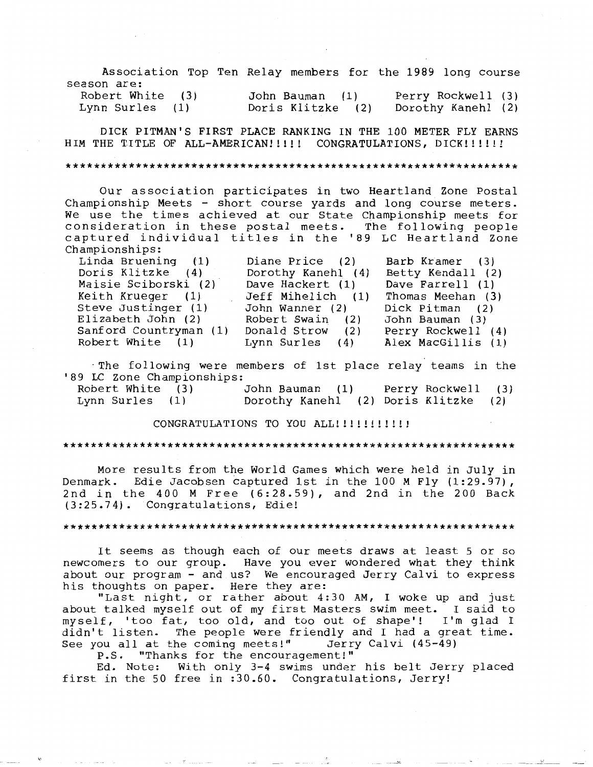Association Top Ten Relay members for the 1989 long course season are: Robert White (3)

Lynn Surles (1)

#### John Bauman (1) Perry Rockwell (3) Doris Klitzke (2) Dorothy Kanehl (2)

DICK PITMAN'S FIRST PLACE RANKING IN THE 100 METER FLY EARNS HIM THE TITLE OF ALL-AMERICAN!!!!! CONGRATULATIONS, DICK!!!!!!

#### \*\*\*\*\*\*\*\*\*\*\*\*\*\*\*\*\*\*\*\*\*\*\*\*\*\*\*\*\*\*\*\*\*\*\*\*\*\*\*\*\*\*\*\*\*\*\*\*\*\*\*\*\*\*\*\*\*\*\*\*\*\*\*\*\*

Our association participates in two Heartland Zone Postal Championship Meets - short course yards and long course meters. We use the times achieved at our State Championship meets for consideration in these postal meets. The fol lowing people captured individual titles in the '89 LC Heartland Zone Championships:

| Linda Bruening (1)     | Diane Price (2)    | Barb Kramer (3)    |
|------------------------|--------------------|--------------------|
| Doris Klitzke (4)      | Dorothy Kanehl (4) | Betty Kendall (2)  |
| Maisie Sciborski (2)   | Dave Hackert (1)   | Dave Farrell (1)   |
| Keith Krueger (1)      | Jeff Mihelich (1)  | Thomas Meehan (3)  |
| Steve Justinger (1)    | John Wanner (2)    | Dick Pitman (2)    |
| Elizabeth John (2)     | Robert Swain (2)   | John Bauman (3)    |
| Sanford Countryman (1) | Donald Strow (2)   | Perry Rockwell (4) |
| Robert White (1)       | Lynn Surles (4)    | Alex MacGillis (1) |
|                        |                    |                    |

·The following were members of 1st place relay teams in the '89 LC Zone Championships:

Robert White (3) John Bauman (1) Perry Rockwell (3) ( 2) (2) Doris Klitzke Lynn Surles (1)

CONGRATULATIONS TO YOU ALL!!!!!!!!!!!!

### \*\*\*\*\*\*\*\*\*\*\*\*\*\*\*\*\*\*\*\*\*\*\*\*\*\*\*\*\*\*\*\*\*\*\*\*\*\*\*\*\*\*\*\*\*\*\*\*\*\*\*\*\*\*\*\*\*\*\*\*\*\*\*\*\*

More results from the World Games which were held in July in Denmark. Edie Jacobsen captured 1st in the 100 M Fly  $(1:29.97)$ , 2nd in the 400 M Free (6:28.59), and 2nd in the 200 Back (3:25.74). Congratulations, Edie!

# \*\*\*\*\*\*\*\*\*\*\*\*\*\*\*\*\*\*\*\*\*\*\*\*\*\*\*\*\*\*\*\*\*\*\*\*\*\*\*\*\*\*\*\*\*\*\*\*\*\*\*\*\*\*\*\*\*\*\*\*\*\*\*\*\*

It seems as though each of our meets draws at least 5 or so newcomers to our group. Have you ever wondered what they think about our program - and us? We encouraged Jerry Calvi to express his thoughts on paper. Here they are:

"Last night, or rather about 4:30 AM, I woke up and just about talked myself out of my first Masters swim meet. I said to myself, 'too fat, too old, and too out of shape'! I'm glad I didn't listen. The people were friendly and I had a great time.<br>See you all at the coming meets!" Jerry Calvi (45-49) See you all at the coming meets!"

P.S. "Thanks for the encouragement!"

Ed. Note: With only 3-4 swims under his belt Jerry placed first in the 50 free in :30.60. Congratulations, Jerry!

-- - \_:.:::\_·' *\_\_\_ \_*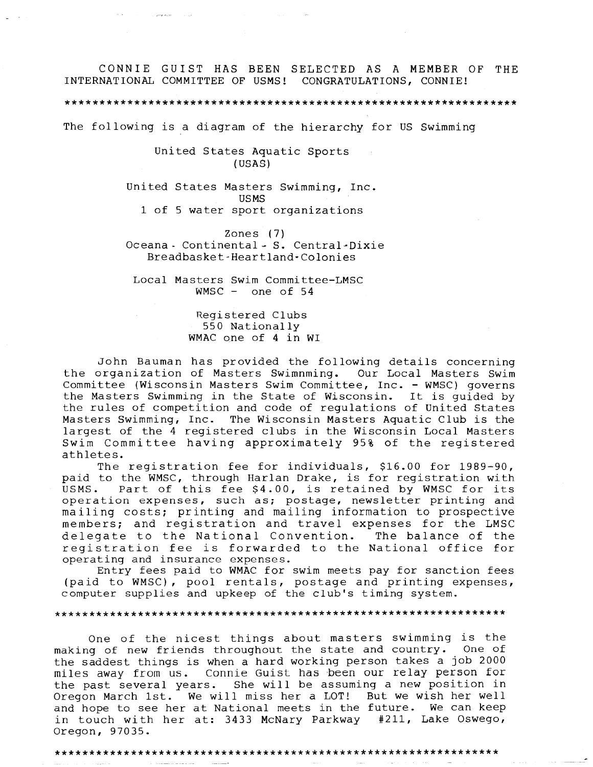CONNIE GUIST HAS BEEN SELECTED AS A MEMBER OF THE INTERNATIONAL COMMITTEE OF USMS! CONGRATULATIONS, CONNIE!

The following is a diagram of the hierarchy for US Swimming

United States Aquatic Sports  $(USAS)$ 

United States Masters Swimming, Inc. **USMS** 1 of 5 water sport organizations

Zones  $(7)$ Oceana - Continental - S. Central-Dixie Breadbasket-Heartland-Colonies

Local Masters Swim Committee-LMSC WMSC - one of  $54$ 

> Registered Clubs 550 Nationally WMAC one of 4 in WI

John Bauman has provided the following details concerning the organization of Masters Swimnming. Our Local Masters Swim Committee (Wisconsin Masters Swim Committee, Inc. - WMSC) governs the Masters Swimming in the State of Wisconsin. It is quided by the rules of competition and code of regulations of United States Masters Swimming, Inc. The Wisconsin Masters Aquatic Club is the largest of the 4 registered clubs in the Wisconsin Local Masters Swim Committee having approximately 95% of the registered athletes.

The registration fee for individuals, \$16.00 for 1989-90, paid to the WMSC, through Harlan Drake, is for registration with USMS. Part of this fee \$4.00, is retained by WMSC for its operation expenses, such as; postage, newsletter printing and mailing costs; printing and mailing information to prospective members; and registration and travel expenses for the LMSC delegate to the National Convention. The balance of the registration fee is forwarded to the National office for operating and insurance expenses.

Entry fees paid to WMAC for swim meets pay for sanction fees (paid to WMSC), pool rentals, postage and printing expenses, computer supplies and upkeep of the club's timing system.

One of the nicest things about masters swimming is the making of new friends throughout the state and country. One of the saddest things is when a hard working person takes a job 2000 miles away from us. Connie Guist has been our relay person for the past several years. She will be assuming a new position in Oregon March 1st. We will miss her a LOT! But we wish her well and hope to see her at National meets in the future. We can keep in touch with her at: 3433 McNary Parkway #211, Lake Oswego, Oregon, 97035.